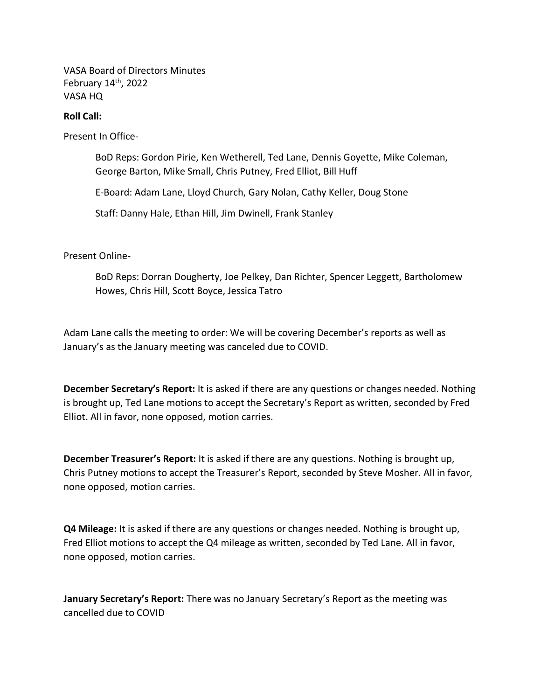VASA Board of Directors Minutes February 14<sup>th</sup>, 2022 VASA HQ

## **Roll Call:**

Present In Office-

BoD Reps: Gordon Pirie, Ken Wetherell, Ted Lane, Dennis Goyette, Mike Coleman, George Barton, Mike Small, Chris Putney, Fred Elliot, Bill Huff

E-Board: Adam Lane, Lloyd Church, Gary Nolan, Cathy Keller, Doug Stone

Staff: Danny Hale, Ethan Hill, Jim Dwinell, Frank Stanley

Present Online-

BoD Reps: Dorran Dougherty, Joe Pelkey, Dan Richter, Spencer Leggett, Bartholomew Howes, Chris Hill, Scott Boyce, Jessica Tatro

Adam Lane calls the meeting to order: We will be covering December's reports as well as January's as the January meeting was canceled due to COVID.

**December Secretary's Report:** It is asked if there are any questions or changes needed. Nothing is brought up, Ted Lane motions to accept the Secretary's Report as written, seconded by Fred Elliot. All in favor, none opposed, motion carries.

**December Treasurer's Report:** It is asked if there are any questions. Nothing is brought up, Chris Putney motions to accept the Treasurer's Report, seconded by Steve Mosher. All in favor, none opposed, motion carries.

**Q4 Mileage:** It is asked if there are any questions or changes needed. Nothing is brought up, Fred Elliot motions to accept the Q4 mileage as written, seconded by Ted Lane. All in favor, none opposed, motion carries.

**January Secretary's Report:** There was no January Secretary's Report as the meeting was cancelled due to COVID